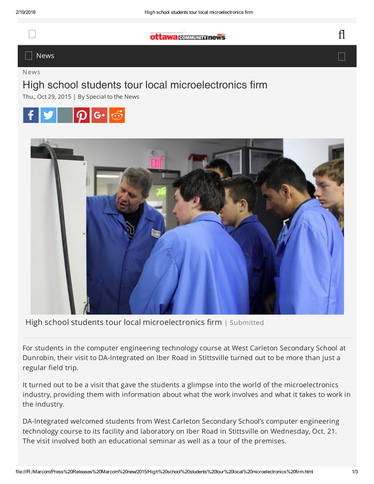## $\alpha$ ttawa communizinews

## $\Box$  News  $\Box$

News

## High school students tour local microelectronics firm

Thu., Oct 29, 2015 | By Special to the News





High school students tour local microelectronics firm | Submitted

For students in the computer engineering technology course at West Carleton Secondary School at Dunrobin, their visit to DA-Integrated on Iber Road in Stittsville turned out to be more than just a regular field trip.

It turned out to be a visit that gave the students a glimpse into the world of the microelectronics industry, providing them with information about what the work involves and what it takes to work in the industry.

DA-Integrated welcomed students from West Carleton Secondary School's computer engineering technology course to its facility and laboratory on Iber Road in Stittsville on Wednesday, Oct. 21. The visit involved both an educational seminar as well as a tour of the premises.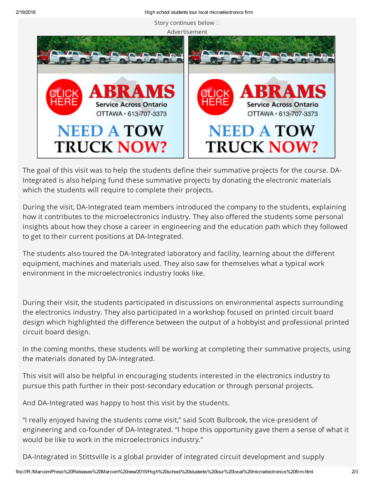





The goal of this visit was to help the students define their summative projects for the course. DA-Integrated is also helping fund these summative projects by donating the electronic materials which the students will require to complete their projects.

During the visit, DA-Integrated team members introduced the company to the students, explaining how it contributes to the microelectronics industry. They also offered the students some personal insights about how they chose a career in engineering and the education path which they followed to get to their current positions at DA-Integrated.

The students also toured the DA-Integrated laboratory and facility, learning about the different equipment, machines and materials used. They also saw for themselves what a typical work environment in the microelectronics industry looks like.

During their visit, the students participated in discussions on environmental aspects surrounding the electronics industry. They also participated in a workshop focused on printed circuit board design which highlighted the difference between the output of a hobbyist and professional printed circuit board design.

In the coming months, these students will be working at completing their summative projects, using the materials donated by DA-Integrated.

This visit will also be helpful in encouraging students interested in the electronics industry to pursue this path further in their post-secondary education or through personal projects.

And DA-Integrated was happy to host this visit by the students.

"I really enjoyed having the students come visit," said Scott Bulbrook, the vice-president of engineering and co-founder of DA-Integrated. "I hope this opportunity gave them a sense of what it would be like to work in the microelectronics industry."

DA-Integrated in Stittsville is a global provider of integrated circuit development and supply